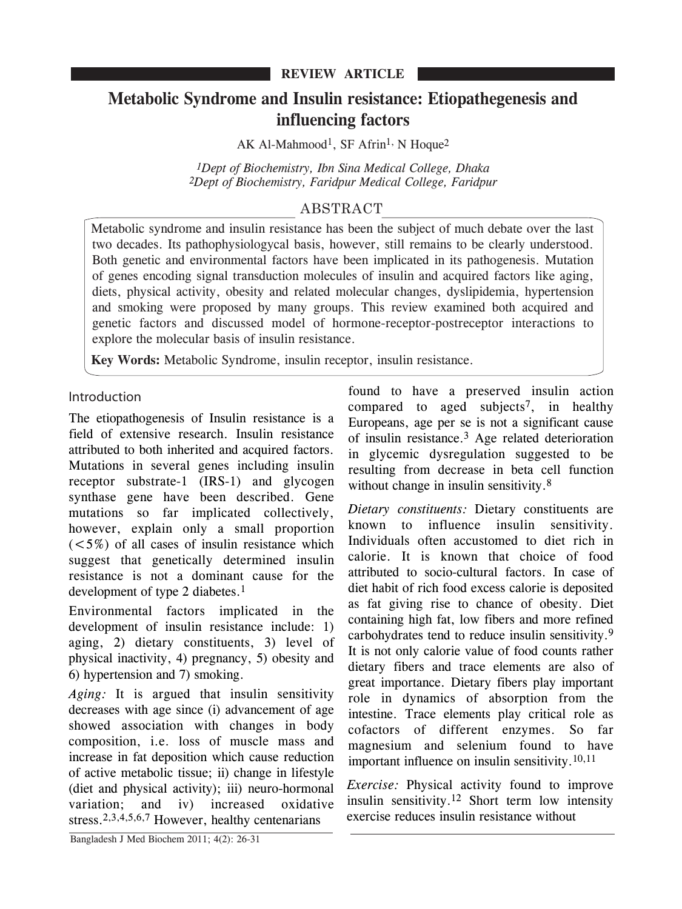# **Metabolic Syndrome and Insulin resistance: Etiopathegenesis and influencing factors**

AK Al-Mahmood<sup>1</sup>, SF Afrin<sup>1,</sup> N Hoque<sup>2</sup>

*1Dept of Biochemistry, Ibn Sina Medical College, Dhaka 2Dept of Biochemistry, Faridpur Medical College, Faridpur*

## ABSTRACT

Metabolic syndrome and insulin resistance has been the subject of much debate over the last two decades. Its pathophysiologycal basis, however, still remains to be clearly understood. Both genetic and environmental factors have been implicated in its pathogenesis. Mutation of genes encoding signal transduction molecules of insulin and acquired factors like aging, diets, physical activity, obesity and related molecular changes, dyslipidemia, hypertension and smoking were proposed by many groups. This review examined both acquired and genetic factors and discussed model of hormone-receptor-postreceptor interactions to explore the molecular basis of insulin resistance.

**Key Words:** Metabolic Syndrome, insulin receptor, insulin resistance.

Introduction

The etiopathogenesis of Insulin resistance is a field of extensive research. Insulin resistance attributed to both inherited and acquired factors. Mutations in several genes including insulin receptor substrate-1 (IRS-1) and glycogen synthase gene have been described. Gene mutations so far implicated collectively, however, explain only a small proportion  $(<5\%)$  of all cases of insulin resistance which suggest that genetically determined insulin resistance is not a dominant cause for the development of type 2 diabetes.<sup>1</sup>

Environmental factors implicated in the development of insulin resistance include: 1) aging, 2) dietary constituents, 3) level of physical inactivity, 4) pregnancy, 5) obesity and 6) hypertension and 7) smoking.

*Aging:* It is argued that insulin sensitivity decreases with age since (i) advancement of age showed association with changes in body composition, i.e. loss of muscle mass and increase in fat deposition which cause reduction of active metabolic tissue; ii) change in lifestyle (diet and physical activity); iii) neuro-hormonal variation; and iv) increased oxidative stress.<sup>2,3,4,5,6,7</sup> However, healthy centenarians

found to have a preserved insulin action compared to aged subjects<sup>7</sup>, in healthy Europeans, age per se is not a significant cause of insulin resistance.3 Age related deterioration in glycemic dysregulation suggested to be resulting from decrease in beta cell function without change in insulin sensitivity.<sup>8</sup>

*Dietary constituents:* Dietary constituents are known to influence insulin sensitivity. Individuals often accustomed to diet rich in calorie. It is known that choice of food attributed to socio-cultural factors. In case of diet habit of rich food excess calorie is deposited as fat giving rise to chance of obesity. Diet containing high fat, low fibers and more refined carbohydrates tend to reduce insulin sensitivity.9 It is not only calorie value of food counts rather dietary fibers and trace elements are also of great importance. Dietary fibers play important role in dynamics of absorption from the intestine. Trace elements play critical role as cofactors of different enzymes. So far magnesium and selenium found to have important influence on insulin sensitivity.10,11

*Exercise:* Physical activity found to improve insulin sensitivity.12 Short term low intensity exercise reduces insulin resistance without

Bangladesh J Med Biochem 2011; 4(2): 26-31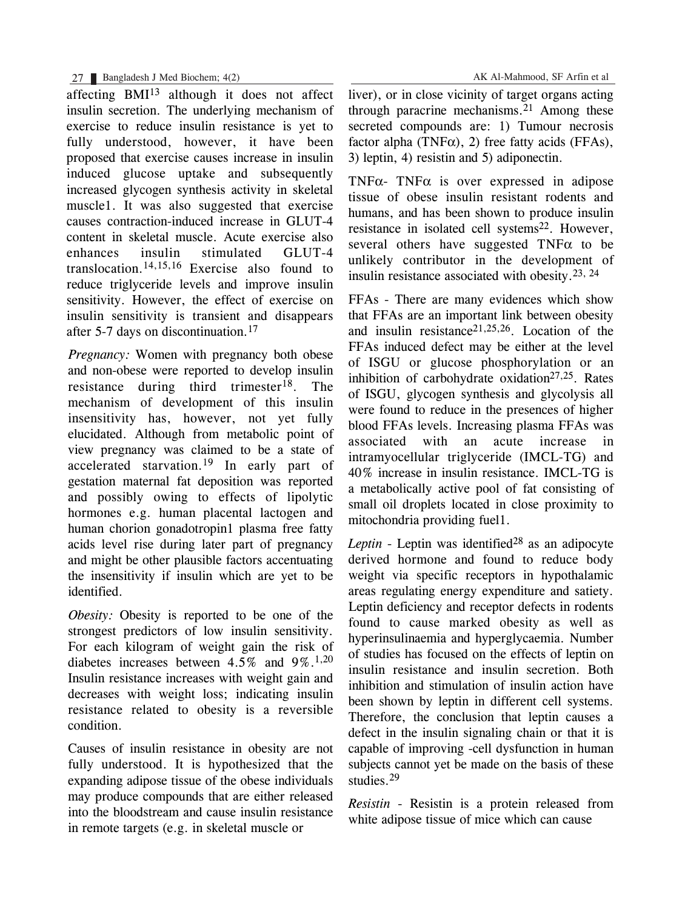### 27 Bangladesh J Med Biochem; 4(2) AK Al-Mahmood, SF Arfin et al

affecting BMI13 although it does not affect insulin secretion. The underlying mechanism of exercise to reduce insulin resistance is yet to fully understood, however, it have been proposed that exercise causes increase in insulin induced glucose uptake and subsequently increased glycogen synthesis activity in skeletal muscle1. It was also suggested that exercise causes contraction-induced increase in GLUT-4 content in skeletal muscle. Acute exercise also enhances insulin stimulated GLUT-4 translocation.<sup>14,15,16</sup> Exercise also found to reduce triglyceride levels and improve insulin sensitivity. However, the effect of exercise on insulin sensitivity is transient and disappears after 5-7 days on discontinuation.17

*Pregnancy:* Women with pregnancy both obese and non-obese were reported to develop insulin resistance during third trimester<sup>18</sup>. The mechanism of development of this insulin insensitivity has, however, not yet fully elucidated. Although from metabolic point of view pregnancy was claimed to be a state of accelerated starvation.<sup>19</sup> In early part of gestation maternal fat deposition was reported and possibly owing to effects of lipolytic hormones e.g. human placental lactogen and human chorion gonadotropin1 plasma free fatty acids level rise during later part of pregnancy and might be other plausible factors accentuating the insensitivity if insulin which are yet to be identified.

*Obesity:* Obesity is reported to be one of the strongest predictors of low insulin sensitivity. For each kilogram of weight gain the risk of diabetes increases between 4.5% and  $9\%$ .<sup>1,20</sup> Insulin resistance increases with weight gain and decreases with weight loss; indicating insulin resistance related to obesity is a reversible condition.

Causes of insulin resistance in obesity are not fully understood. It is hypothesized that the expanding adipose tissue of the obese individuals may produce compounds that are either released into the bloodstream and cause insulin resistance in remote targets (e.g. in skeletal muscle or

liver), or in close vicinity of target organs acting through paracrine mechanisms. $21$  Among these secreted compounds are: 1) Tumour necrosis factor alpha (TNF $\alpha$ ), 2) free fatty acids (FFAs), 3) leptin, 4) resistin and 5) adiponectin.

TNF $\alpha$ - TNF $\alpha$  is over expressed in adipose tissue of obese insulin resistant rodents and humans, and has been shown to produce insulin resistance in isolated cell systems<sup>22</sup>. However, several others have suggested  $TNF\alpha$  to be unlikely contributor in the development of insulin resistance associated with obesity.23, <sup>24</sup>

FFAs - There are many evidences which show that FFAs are an important link between obesity and insulin resistance  $21,25,26$ . Location of the FFAs induced defect may be either at the level of ISGU or glucose phosphorylation or an inhibition of carbohydrate oxidation<sup>27,25</sup>. Rates of ISGU, glycogen synthesis and glycolysis all were found to reduce in the presences of higher blood FFAs levels. Increasing plasma FFAs was associated with an acute increase in intramyocellular triglyceride (IMCL-TG) and 40% increase in insulin resistance. IMCL-TG is a metabolically active pool of fat consisting of small oil droplets located in close proximity to mitochondria providing fuel1.

*Leptin* - Leptin was identified<sup>28</sup> as an adipocyte derived hormone and found to reduce body weight via specific receptors in hypothalamic areas regulating energy expenditure and satiety. Leptin deficiency and receptor defects in rodents found to cause marked obesity as well as hyperinsulinaemia and hyperglycaemia. Number of studies has focused on the effects of leptin on insulin resistance and insulin secretion. Both inhibition and stimulation of insulin action have been shown by leptin in different cell systems. Therefore, the conclusion that leptin causes a defect in the insulin signaling chain or that it is capable of improving -cell dysfunction in human subjects cannot yet be made on the basis of these studies.29

*Resistin -* Resistin is a protein released from white adipose tissue of mice which can cause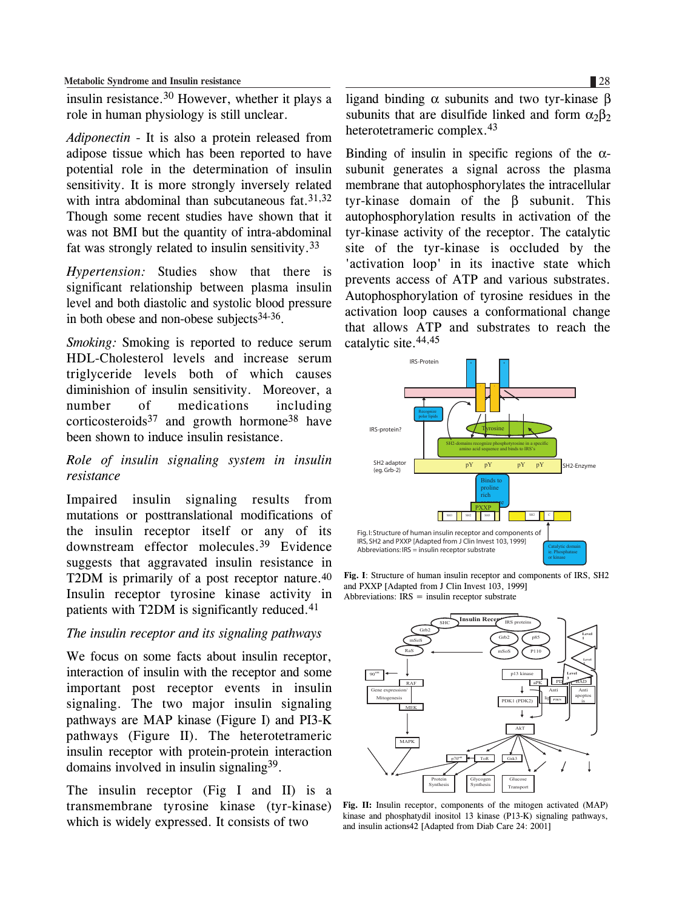insulin resistance.30 However, whether it plays a role in human physiology is still unclear.

*Adiponectin* - It is also a protein released from adipose tissue which has been reported to have potential role in the determination of insulin sensitivity. It is more strongly inversely related with intra abdominal than subcutaneous fat.  $31,32$ Though some recent studies have shown that it was not BMI but the quantity of intra-abdominal fat was strongly related to insulin sensitivity.33

*Hypertension:* Studies show that there is significant relationship between plasma insulin level and both diastolic and systolic blood pressure in both obese and non-obese subjects  $34-36$ .

*Smoking:* Smoking is reported to reduce serum HDL-Cholesterol levels and increase serum triglyceride levels both of which causes diminishion of insulin sensitivity. Moreover, a number of medications including corticosteroids<sup>37</sup> and growth hormone<sup>38</sup> have been shown to induce insulin resistance.

## *Role of insulin signaling system in insulin resistance*

Impaired insulin signaling results from mutations or posttranslational modifications of the insulin receptor itself or any of its downstream effector molecules.39 Evidence suggests that aggravated insulin resistance in T2DM is primarily of a post receptor nature.40 Insulin receptor tyrosine kinase activity in patients with T2DM is significantly reduced.<sup>41</sup>

#### *The insulin receptor and its signaling pathways*

We focus on some facts about insulin receptor, interaction of insulin with the receptor and some important post receptor events in insulin signaling. The two major insulin signaling pathways are MAP kinase (Figure I) and PI3-K pathways (Figure II). The heterotetrameric insulin receptor with protein-protein interaction domains involved in insulin signaling39.

The insulin receptor (Fig I and II) is a transmembrane tyrosine kinase (tyr-kinase) which is widely expressed. It consists of two

ligand binding  $\alpha$  subunits and two tyr-kinase β subunits that are disulfide linked and form  $\alpha_2 \beta_2$ heterotetrameric complex.<sup>43</sup>

Binding of insulin in specific regions of the  $\alpha$ subunit generates a signal across the plasma membrane that autophosphorylates the intracellular tyr-kinase domain of the β subunit. This autophosphorylation results in activation of the tyr-kinase activity of the receptor. The catalytic site of the tyr-kinase is occluded by the 'activation loop' in its inactive state which prevents access of ATP and various substrates. Autophosphorylation of tyrosine residues in the activation loop causes a conformational change that allows ATP and substrates to reach the catalytic site.44,45



**Fig. I**: Structure of human insulin receptor and components of IRS, SH2 and PXXP [Adapted from J Clin Invest 103, 1999] Abbreviations:  $IRS = insulin receptor substrate$ 



**Fig. II:** Insulin receptor, components of the mitogen activated (MAP) kinase and phosphatydil inositol 13 kinase (P13-K) signaling pathways, and insulin actions42 [Adapted from Diab Care 24: 2001]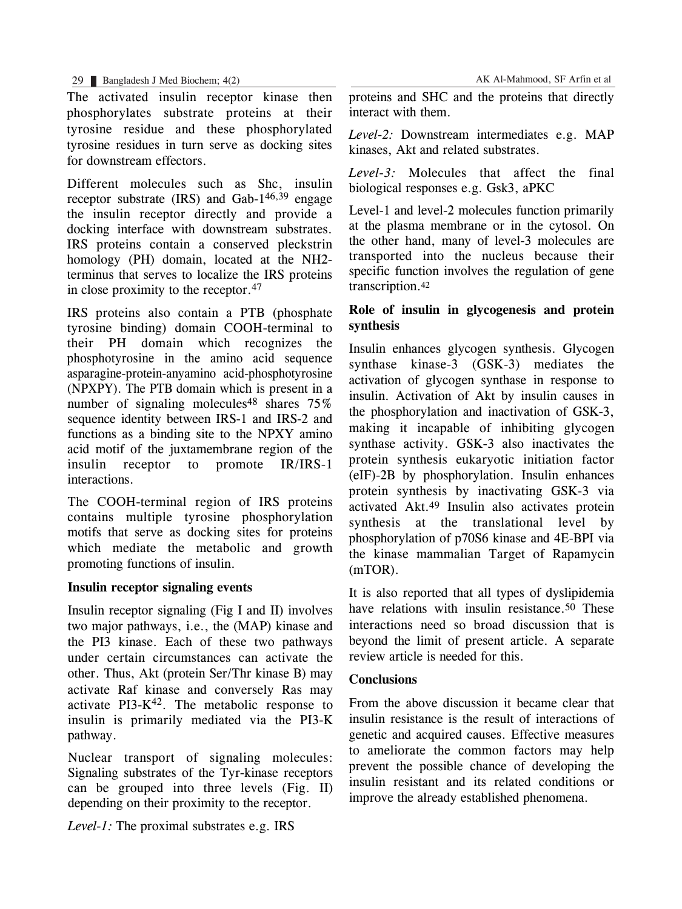The activated insulin receptor kinase then phosphorylates substrate proteins at their tyrosine residue and these phosphorylated tyrosine residues in turn serve as docking sites for downstream effectors.

Different molecules such as Shc, insulin receptor substrate  $(IRS)$  and  $Gab-1^{46,39}$  engage the insulin receptor directly and provide a docking interface with downstream substrates. IRS proteins contain a conserved pleckstrin homology (PH) domain, located at the NH2 terminus that serves to localize the IRS proteins in close proximity to the receptor.47

IRS proteins also contain a PTB (phosphate tyrosine binding) domain COOH-terminal to their PH domain which recognizes the phosphotyrosine in the amino acid sequence asparagine-protein-anyamino acid-phosphotyrosine (NPXPY). The PTB domain which is present in a number of signaling molecules<sup>48</sup> shares  $75\%$ sequence identity between IRS-1 and IRS-2 and functions as a binding site to the NPXY amino acid motif of the juxtamembrane region of the insulin receptor to promote IR/IRS-1 interactions.

The COOH-terminal region of IRS proteins contains multiple tyrosine phosphorylation motifs that serve as docking sites for proteins which mediate the metabolic and growth promoting functions of insulin.

## **Insulin receptor signaling events**

Insulin receptor signaling (Fig I and II) involves two major pathways, i.e., the (MAP) kinase and the PI3 kinase. Each of these two pathways under certain circumstances can activate the other. Thus, Akt (protein Ser/Thr kinase B) may activate Raf kinase and conversely Ras may activate  $PI3-K<sup>42</sup>$ . The metabolic response to insulin is primarily mediated via the PI3-K pathway.

Nuclear transport of signaling molecules: Signaling substrates of the Tyr-kinase receptors can be grouped into three levels (Fig. II) depending on their proximity to the receptor.

*Level-1:* The proximal substrates e.g. IRS

proteins and SHC and the proteins that directly interact with them.

*Level-2:* Downstream intermediates e.g. MAP kinases, Akt and related substrates.

*Level-3:* Molecules that affect the final biological responses e.g. Gsk3, aPKC

Level-1 and level-2 molecules function primarily at the plasma membrane or in the cytosol. On the other hand, many of level-3 molecules are transported into the nucleus because their specific function involves the regulation of gene transcription.42

## **Role of insulin in glycogenesis and protein synthesis**

Insulin enhances glycogen synthesis. Glycogen synthase kinase-3 (GSK-3) mediates the activation of glycogen synthase in response to insulin. Activation of Akt by insulin causes in the phosphorylation and inactivation of GSK-3, making it incapable of inhibiting glycogen synthase activity. GSK-3 also inactivates the protein synthesis eukaryotic initiation factor (eIF)-2B by phosphorylation. Insulin enhances protein synthesis by inactivating GSK-3 via activated Akt.49 Insulin also activates protein synthesis at the translational level by phosphorylation of p70S6 kinase and 4E-BPI via the kinase mammalian Target of Rapamycin (mTOR).

It is also reported that all types of dyslipidemia have relations with insulin resistance.<sup>50</sup> These interactions need so broad discussion that is beyond the limit of present article. A separate review article is needed for this.

## **Conclusions**

From the above discussion it became clear that insulin resistance is the result of interactions of genetic and acquired causes. Effective measures to ameliorate the common factors may help prevent the possible chance of developing the insulin resistant and its related conditions or improve the already established phenomena.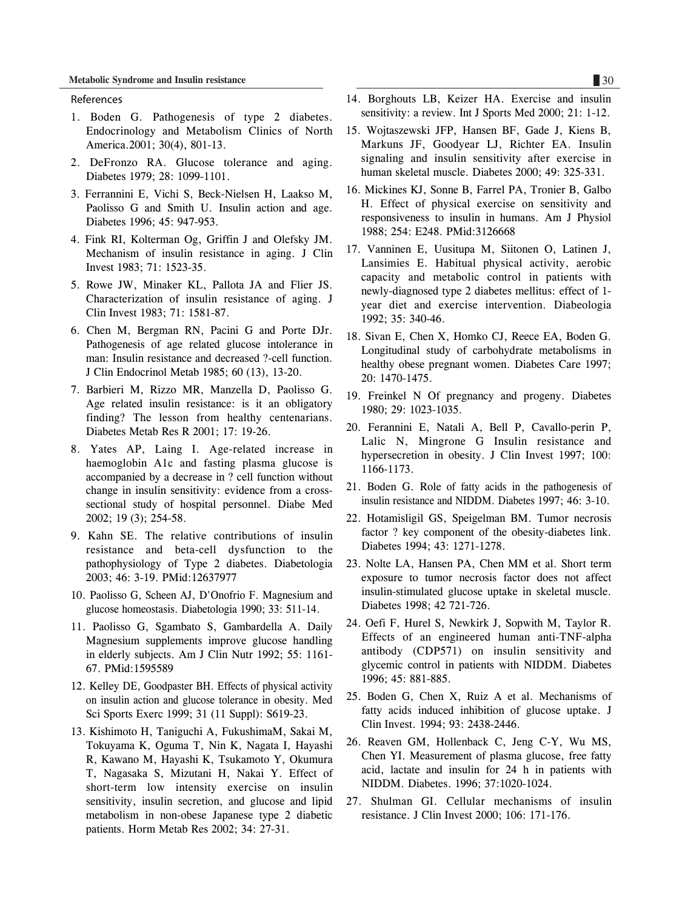#### References

- 1. Boden G. Pathogenesis of type 2 diabetes. Endocrinology and Metabolism Clinics of North America.2001; 30(4), 801-13.
- 2. DeFronzo RA. Glucose tolerance and aging. Diabetes 1979; 28: 1099-1101.
- 3. Ferrannini E, Vichi S, Beck-Nielsen H, Laakso M, Paolisso G and Smith U. Insulin action and age. Diabetes 1996; 45: 947-953.
- 4. Fink RI, Kolterman Og, Griffin J and Olefsky JM. Mechanism of insulin resistance in aging. J Clin Invest 1983; 71: 1523-35.
- 5. Rowe JW, Minaker KL, Pallota JA and Flier JS. Characterization of insulin resistance of aging. J Clin Invest 1983; 71: 1581-87.
- 6. Chen M, Bergman RN, Pacini G and Porte DJr. Pathogenesis of age related glucose intolerance in man: Insulin resistance and decreased ?-cell function. J Clin Endocrinol Metab 1985; 60 (13), 13-20.
- 7. Barbieri M, Rizzo MR, Manzella D, Paolisso G. Age related insulin resistance: is it an obligatory finding? The lesson from healthy centenarians. Diabetes Metab Res R 2001; 17: 19-26.
- 8. Yates AP, Laing I. Age-related increase in haemoglobin A1c and fasting plasma glucose is accompanied by a decrease in ? cell function without change in insulin sensitivity: evidence from a crosssectional study of hospital personnel. Diabe Med 2002; 19 (3); 254-58.
- 9. Kahn SE. The relative contributions of insulin resistance and beta-cell dysfunction to the pathophysiology of Type 2 diabetes. Diabetologia 2003; 46: 3-19. PMid:12637977
- 10. Paolisso G, Scheen AJ, D'Onofrio F. Magnesium and glucose homeostasis. Diabetologia 1990; 33: 511-14.
- 11. Paolisso G, Sgambato S, Gambardella A. Daily Magnesium supplements improve glucose handling in elderly subjects. Am J Clin Nutr 1992; 55: 1161- 67. PMid:1595589
- 12. Kelley DE, Goodpaster BH. Effects of physical activity on insulin action and glucose tolerance in obesity. Med Sci Sports Exerc 1999; 31 (11 Suppl): S619-23.
- 13. Kishimoto H, Taniguchi A, FukushimaM, Sakai M, Tokuyama K, Oguma T, Nin K, Nagata I, Hayashi R, Kawano M, Hayashi K, Tsukamoto Y, Okumura T, Nagasaka S, Mizutani H, Nakai Y. Effect of short-term low intensity exercise on insulin sensitivity, insulin secretion, and glucose and lipid metabolism in non-obese Japanese type 2 diabetic patients. Horm Metab Res 2002; 34: 27-31.
- 14. Borghouts LB, Keizer HA. Exercise and insulin sensitivity: a review. Int J Sports Med 2000; 21: 1-12.
- 15. Wojtaszewski JFP, Hansen BF, Gade J, Kiens B, Markuns JF, Goodyear LJ, Richter EA. Insulin signaling and insulin sensitivity after exercise in human skeletal muscle. Diabetes 2000; 49: 325-331.
- 16. Mickines KJ, Sonne B, Farrel PA, Tronier B, Galbo H. Effect of physical exercise on sensitivity and responsiveness to insulin in humans. Am J Physiol 1988; 254: E248. PMid:3126668
- 17. Vanninen E, Uusitupa M, Siitonen O, Latinen J, Lansimies E. Habitual physical activity, aerobic capacity and metabolic control in patients with newly-diagnosed type 2 diabetes mellitus: effect of 1 year diet and exercise intervention. Diabeologia 1992; 35: 340-46.
- 18. Sivan E, Chen X, Homko CJ, Reece EA, Boden G. Longitudinal study of carbohydrate metabolisms in healthy obese pregnant women. Diabetes Care 1997; 20: 1470-1475.
- 19. Freinkel N Of pregnancy and progeny. Diabetes 1980; 29: 1023-1035.
- 20. Ferannini E, Natali A, Bell P, Cavallo-perin P, Lalic N, Mingrone G Insulin resistance and hypersecretion in obesity. J Clin Invest 1997; 100: 1166-1173.
- 21. Boden G. Role of fatty acids in the pathogenesis of insulin resistance and NIDDM. Diabetes 1997; 46: 3-10.
- 22. Hotamisligil GS, Speigelman BM. Tumor necrosis factor ? key component of the obesity-diabetes link. Diabetes 1994; 43: 1271-1278.
- 23. Nolte LA, Hansen PA, Chen MM et al. Short term exposure to tumor necrosis factor does not affect insulin-stimulated glucose uptake in skeletal muscle. Diabetes 1998; 42 721-726.
- 24. Oefi F, Hurel S, Newkirk J, Sopwith M, Taylor R. Effects of an engineered human anti-TNF-alpha antibody (CDP571) on insulin sensitivity and glycemic control in patients with NIDDM. Diabetes 1996; 45: 881-885.
- 25. Boden G, Chen X, Ruiz A et al. Mechanisms of fatty acids induced inhibition of glucose uptake. J Clin Invest. 1994; 93: 2438-2446.
- 26. Reaven GM, Hollenback C, Jeng C-Y, Wu MS, Chen YI. Measurement of plasma glucose, free fatty acid, lactate and insulin for 24 h in patients with NIDDM. Diabetes. 1996; 37:1020-1024.
- 27. Shulman GI. Cellular mechanisms of insulin resistance. J Clin Invest 2000; 106: 171-176.